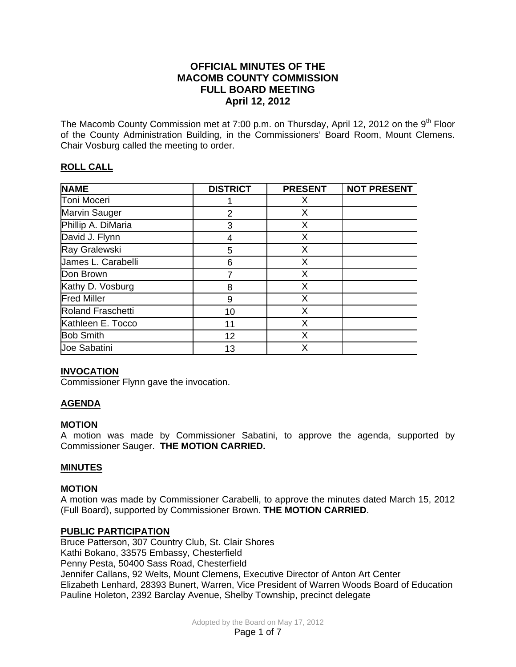# **OFFICIAL MINUTES OF THE MACOMB COUNTY COMMISSION FULL BOARD MEETING April 12, 2012**

The Macomb County Commission met at 7:00 p.m. on Thursday, April 12, 2012 on the 9<sup>th</sup> Floor of the County Administration Building, in the Commissioners' Board Room, Mount Clemens. Chair Vosburg called the meeting to order.

# **ROLL CALL**

| <b>NAME</b>          | <b>DISTRICT</b> | <b>PRESENT</b> | <b>NOT PRESENT</b> |
|----------------------|-----------------|----------------|--------------------|
| Toni Moceri          |                 | X              |                    |
| <b>Marvin Sauger</b> | $\overline{2}$  | X              |                    |
| Phillip A. DiMaria   | 3               | X              |                    |
| David J. Flynn       | 4               | X              |                    |
| Ray Gralewski        | 5               | X              |                    |
| James L. Carabelli   | 6               | X              |                    |
| Don Brown            |                 | X              |                    |
| Kathy D. Vosburg     | 8               | X              |                    |
| <b>Fred Miller</b>   | 9               | X              |                    |
| Roland Fraschetti    | 10              | X              |                    |
| Kathleen E. Tocco    | 11              | X              |                    |
| <b>Bob Smith</b>     | 12              | X              |                    |
| Joe Sabatini         | 13              | X              |                    |

# **INVOCATION**

Commissioner Flynn gave the invocation.

## **AGENDA**

## **MOTION**

A motion was made by Commissioner Sabatini, to approve the agenda, supported by Commissioner Sauger. **THE MOTION CARRIED.** 

## **MINUTES**

## **MOTION**

A motion was made by Commissioner Carabelli, to approve the minutes dated March 15, 2012 (Full Board), supported by Commissioner Brown. **THE MOTION CARRIED**.

## **PUBLIC PARTICIPATION**

Bruce Patterson, 307 Country Club, St. Clair Shores Kathi Bokano, 33575 Embassy, Chesterfield Penny Pesta, 50400 Sass Road, Chesterfield Jennifer Callans, 92 Welts, Mount Clemens, Executive Director of Anton Art Center Elizabeth Lenhard, 28393 Bunert, Warren, Vice President of Warren Woods Board of Education Pauline Holeton, 2392 Barclay Avenue, Shelby Township, precinct delegate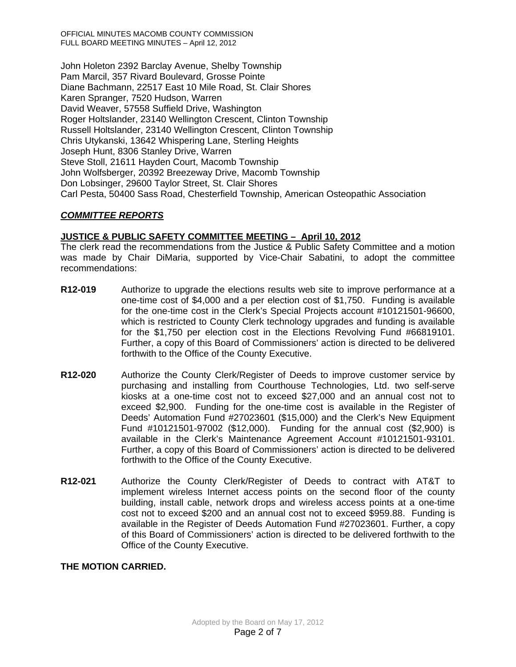OFFICIAL MINUTES MACOMB COUNTY COMMISSION FULL BOARD MEETING MINUTES – April 12, 2012

John Holeton 2392 Barclay Avenue, Shelby Township Pam Marcil, 357 Rivard Boulevard, Grosse Pointe Diane Bachmann, 22517 East 10 Mile Road, St. Clair Shores Karen Spranger, 7520 Hudson, Warren David Weaver, 57558 Suffield Drive, Washington Roger Holtslander, 23140 Wellington Crescent, Clinton Township Russell Holtslander, 23140 Wellington Crescent, Clinton Township Chris Utykanski, 13642 Whispering Lane, Sterling Heights Joseph Hunt, 8306 Stanley Drive, Warren Steve Stoll, 21611 Hayden Court, Macomb Township John Wolfsberger, 20392 Breezeway Drive, Macomb Township Don Lobsinger, 29600 Taylor Street, St. Clair Shores Carl Pesta, 50400 Sass Road, Chesterfield Township, American Osteopathic Association

# *COMMITTEE REPORTS*

## **JUSTICE & PUBLIC SAFETY COMMITTEE MEETING – April 10, 2012**

The clerk read the recommendations from the Justice & Public Safety Committee and a motion was made by Chair DiMaria, supported by Vice-Chair Sabatini, to adopt the committee recommendations:

- **R12-019** Authorize to upgrade the elections results web site to improve performance at a one-time cost of \$4,000 and a per election cost of \$1,750. Funding is available for the one-time cost in the Clerk's Special Projects account #10121501-96600, which is restricted to County Clerk technology upgrades and funding is available for the \$1,750 per election cost in the Elections Revolving Fund #66819101. Further, a copy of this Board of Commissioners' action is directed to be delivered forthwith to the Office of the County Executive.
- **R12-020** Authorize the County Clerk/Register of Deeds to improve customer service by purchasing and installing from Courthouse Technologies, Ltd. two self-serve kiosks at a one-time cost not to exceed \$27,000 and an annual cost not to exceed \$2,900. Funding for the one-time cost is available in the Register of Deeds' Automation Fund #27023601 (\$15,000) and the Clerk's New Equipment Fund #10121501-97002 (\$12,000). Funding for the annual cost (\$2,900) is available in the Clerk's Maintenance Agreement Account #10121501-93101. Further, a copy of this Board of Commissioners' action is directed to be delivered forthwith to the Office of the County Executive.
- **R12-021** Authorize the County Clerk/Register of Deeds to contract with AT&T to implement wireless Internet access points on the second floor of the county building, install cable, network drops and wireless access points at a one-time cost not to exceed \$200 and an annual cost not to exceed \$959.88. Funding is available in the Register of Deeds Automation Fund #27023601. Further, a copy of this Board of Commissioners' action is directed to be delivered forthwith to the Office of the County Executive.

## **THE MOTION CARRIED.**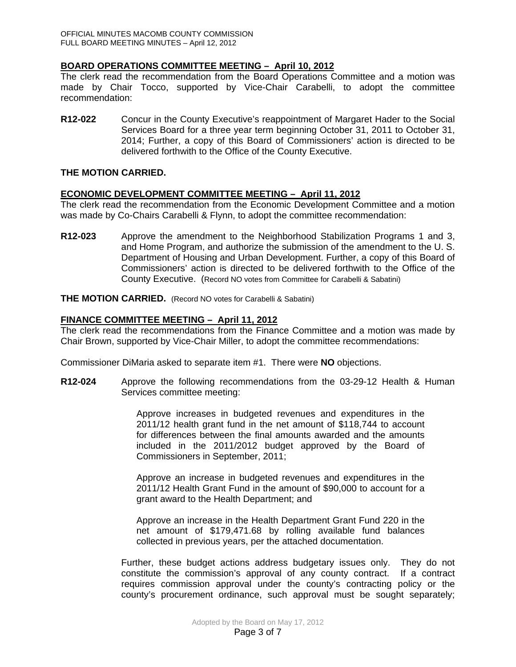## **BOARD OPERATIONS COMMITTEE MEETING – April 10, 2012**

The clerk read the recommendation from the Board Operations Committee and a motion was made by Chair Tocco, supported by Vice-Chair Carabelli, to adopt the committee recommendation:

**R12-022** Concur in the County Executive's reappointment of Margaret Hader to the Social Services Board for a three year term beginning October 31, 2011 to October 31, 2014; Further, a copy of this Board of Commissioners' action is directed to be delivered forthwith to the Office of the County Executive.

### **THE MOTION CARRIED.**

#### **ECONOMIC DEVELOPMENT COMMITTEE MEETING – April 11, 2012**

The clerk read the recommendation from the Economic Development Committee and a motion was made by Co-Chairs Carabelli & Flynn, to adopt the committee recommendation:

**R12-023** Approve the amendment to the Neighborhood Stabilization Programs 1 and 3, and Home Program, and authorize the submission of the amendment to the U. S. Department of Housing and Urban Development. Further, a copy of this Board of Commissioners' action is directed to be delivered forthwith to the Office of the County Executive. (Record NO votes from Committee for Carabelli & Sabatini)

**THE MOTION CARRIED.** (Record NO votes for Carabelli & Sabatini)

#### **FINANCE COMMITTEE MEETING – April 11, 2012**

The clerk read the recommendations from the Finance Committee and a motion was made by Chair Brown, supported by Vice-Chair Miller, to adopt the committee recommendations:

Commissioner DiMaria asked to separate item #1. There were **NO** objections.

**R12-024** Approve the following recommendations from the 03-29-12 Health & Human Services committee meeting:

> Approve increases in budgeted revenues and expenditures in the 2011/12 health grant fund in the net amount of \$118,744 to account for differences between the final amounts awarded and the amounts included in the 2011/2012 budget approved by the Board of Commissioners in September, 2011;

> Approve an increase in budgeted revenues and expenditures in the 2011/12 Health Grant Fund in the amount of \$90,000 to account for a grant award to the Health Department; and

> Approve an increase in the Health Department Grant Fund 220 in the net amount of \$179,471.68 by rolling available fund balances collected in previous years, per the attached documentation.

Further, these budget actions address budgetary issues only. They do not constitute the commission's approval of any county contract. If a contract requires commission approval under the county's contracting policy or the county's procurement ordinance, such approval must be sought separately;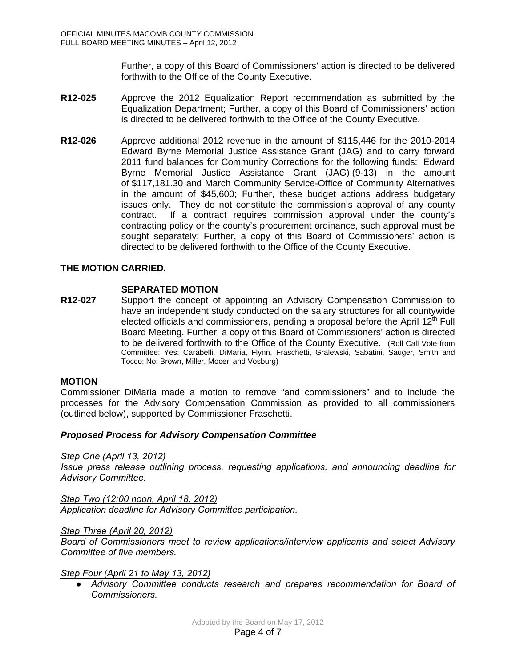Further, a copy of this Board of Commissioners' action is directed to be delivered forthwith to the Office of the County Executive.

- **R12-025** Approve the 2012 Equalization Report recommendation as submitted by the Equalization Department; Further, a copy of this Board of Commissioners' action is directed to be delivered forthwith to the Office of the County Executive.
- **R12-026** Approve additional 2012 revenue in the amount of \$115,446 for the 2010-2014 Edward Byrne Memorial Justice Assistance Grant (JAG) and to carry forward 2011 fund balances for Community Corrections for the following funds: Edward Byrne Memorial Justice Assistance Grant (JAG) (9-13) in the amount of \$117,181.30 and March Community Service-Office of Community Alternatives in the amount of \$45,600; Further, these budget actions address budgetary issues only. They do not constitute the commission's approval of any county contract. If a contract requires commission approval under the county's contracting policy or the county's procurement ordinance, such approval must be sought separately; Further, a copy of this Board of Commissioners' action is directed to be delivered forthwith to the Office of the County Executive.

## **THE MOTION CARRIED.**

## **SEPARATED MOTION**

**R12-027** Support the concept of appointing an Advisory Compensation Commission to have an independent study conducted on the salary structures for all countywide elected officials and commissioners, pending a proposal before the April  $12<sup>th</sup>$  Full Board Meeting. Further, a copy of this Board of Commissioners' action is directed to be delivered forthwith to the Office of the County Executive. (Roll Call Vote from Committee: Yes: Carabelli, DiMaria, Flynn, Fraschetti, Gralewski, Sabatini, Sauger, Smith and Tocco; No: Brown, Miller, Moceri and Vosburg)

#### **MOTION**

Commissioner DiMaria made a motion to remove "and commissioners" and to include the processes for the Advisory Compensation Commission as provided to all commissioners (outlined below), supported by Commissioner Fraschetti.

#### *Proposed Process for Advisory Compensation Committee*

*Step One (April 13, 2012)*

*Issue press release outlining process, requesting applications, and announcing deadline for Advisory Committee.* 

*Step Two (12:00 noon, April 18, 2012) Application deadline for Advisory Committee participation.* 

#### *Step Three (April 20, 2012)*

*Board of Commissioners meet to review applications/interview applicants and select Advisory Committee of five members.* 

#### *Step Four (April 21 to May 13, 2012)*

*● Advisory Committee conducts research and prepares recommendation for Board of Commissioners.*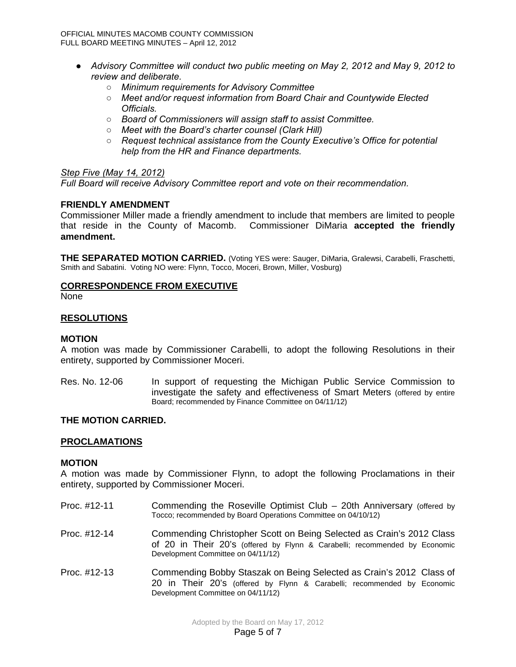- *● Advisory Committee will conduct two public meeting on May 2, 2012 and May 9, 2012 to review and deliberate.* 
	- *○ Minimum requirements for Advisory Committee*
	- *○ Meet and/or request information from Board Chair and Countywide Elected Officials.*
	- *○ Board of Commissioners will assign staff to assist Committee.*
	- *○ Meet with the Board's charter counsel (Clark Hill)*
	- *○ Request technical assistance from the County Executive's Office for potential help from the HR and Finance departments.*

#### *Step Five (May 14, 2012)*

*Full Board will receive Advisory Committee report and vote on their recommendation.* 

#### **FRIENDLY AMENDMENT**

Commissioner Miller made a friendly amendment to include that members are limited to people that reside in the County of Macomb. Commissioner DiMaria **accepted the friendly amendment.**

**THE SEPARATED MOTION CARRIED.** (Voting YES were: Sauger, DiMaria, Gralewsi, Carabelli, Fraschetti, Smith and Sabatini. Voting NO were: Flynn, Tocco, Moceri, Brown, Miller, Vosburg)

#### **CORRESPONDENCE FROM EXECUTIVE**

None

#### **RESOLUTIONS**

#### **MOTION**

A motion was made by Commissioner Carabelli, to adopt the following Resolutions in their entirety, supported by Commissioner Moceri.

Res. No. 12-06 In support of requesting the Michigan Public Service Commission to investigate the safety and effectiveness of Smart Meters (offered by entire Board; recommended by Finance Committee on 04/11/12)

#### **THE MOTION CARRIED.**

#### **PROCLAMATIONS**

#### **MOTION**

A motion was made by Commissioner Flynn, to adopt the following Proclamations in their entirety, supported by Commissioner Moceri.

- Proc. #12-11 Commending the Roseville Optimist Club 20th Anniversary (offered by Tocco; recommended by Board Operations Committee on 04/10/12)
- Proc. #12-14 Commending Christopher Scott on Being Selected as Crain's 2012 Class of 20 in Their 20's (offered by Flynn & Carabelli; recommended by Economic Development Committee on 04/11/12)
- Proc. #12-13 Commending Bobby Staszak on Being Selected as Crain's 2012 Class of 20 in Their 20's (offered by Flynn & Carabelli; recommended by Economic Development Committee on 04/11/12)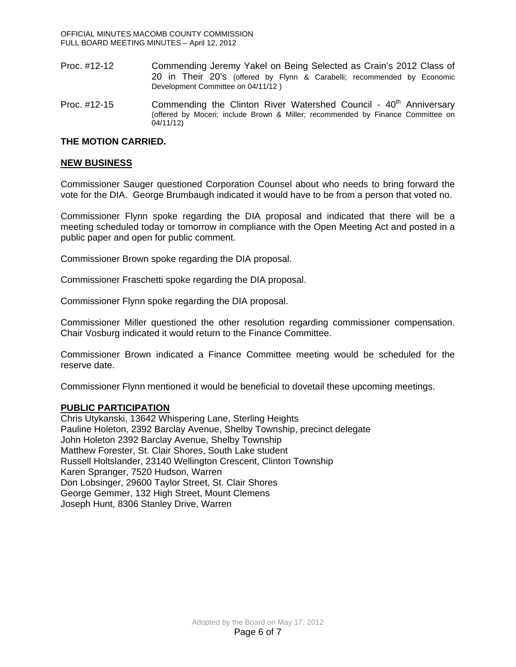- Proc. #12-12 Commending Jeremy Yakel on Being Selected as Crain's 2012 Class of 20 in Their 20's (offered by Flynn & Carabelli; recommended by Economic Development Committee on 04/11/12 )
- Proc. #12-15 Commending the Clinton River Watershed Council 40<sup>th</sup> Anniversary (offered by Moceri; include Brown & Miller; recommended by Finance Committee on 04/11/12)

### **THE MOTION CARRIED.**

#### **NEW BUSINESS**

Commissioner Sauger questioned Corporation Counsel about who needs to bring forward the vote for the DIA. George Brumbaugh indicated it would have to be from a person that voted no.

Commissioner Flynn spoke regarding the DIA proposal and indicated that there will be a meeting scheduled today or tomorrow in compliance with the Open Meeting Act and posted in a public paper and open for public comment.

Commissioner Brown spoke regarding the DIA proposal.

Commissioner Fraschetti spoke regarding the DIA proposal.

Commissioner Flynn spoke regarding the DIA proposal.

Commissioner Miller questioned the other resolution regarding commissioner compensation. Chair Vosburg indicated it would return to the Finance Committee.

Commissioner Brown indicated a Finance Committee meeting would be scheduled for the reserve date.

Commissioner Flynn mentioned it would be beneficial to dovetail these upcoming meetings.

#### **PUBLIC PARTICIPATION**

Chris Utykanski, 13642 Whispering Lane, Sterling Heights Pauline Holeton, 2392 Barclay Avenue, Shelby Township, precinct delegate John Holeton 2392 Barclay Avenue, Shelby Township Matthew Forester, St. Clair Shores, South Lake student Russell Holtslander, 23140 Wellington Crescent, Clinton Township Karen Spranger, 7520 Hudson, Warren Don Lobsinger, 29600 Taylor Street, St. Clair Shores George Gemmer, 132 High Street, Mount Clemens Joseph Hunt, 8306 Stanley Drive, Warren